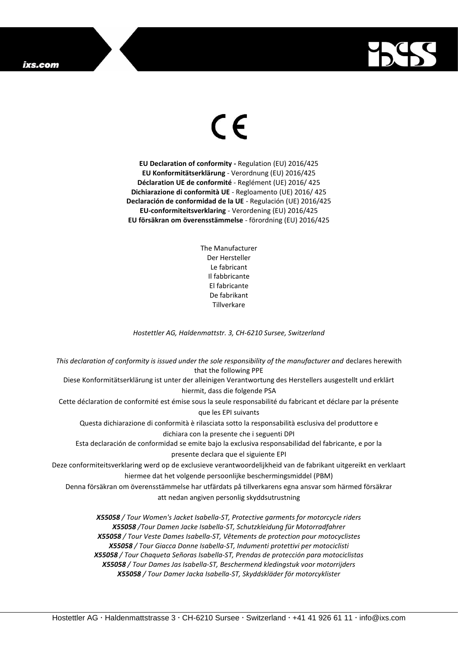## ixs.com



## $\epsilon$

**EU Declaration of conformity -** Regulation (EU) 2016/425 **EU Konformitätserklärung** - Verordnung (EU) 2016/425 **Déclaration UE de conformité** - Reglément (UE) 2016/ 425 **Dichiarazione di conformità UE** - Regloamento (UE) 2016/ 425 **Declaración de conformidad de la UE** - Regulación (UE) 2016/425 **EU-conformiteitsverklaring** - Verordening (EU) 2016/425 **EU försäkran om överensstämmelse** - förordning (EU) 2016/425

> The Manufacturer Der Hersteller Le fabricant Il fabbricante El fabricante De fabrikant Tillverkare

*Hostettler AG, Haldenmattstr. 3, CH-6210 Sursee, Switzerland*

*This declaration of conformity is issued under the sole responsibility of the manufacturer and* declares herewith that the following PPE Diese Konformitätserklärung ist unter der alleinigen Verantwortung des Herstellers ausgestellt und erklärt hiermit, dass die folgende PSA Cette déclaration de conformité est émise sous la seule responsabilité du fabricant et déclare par la présente que les EPI suivants Questa dichiarazione di conformità è rilasciata sotto la responsabilità esclusiva del produttore e dichiara con la presente che i seguenti DPI Esta declaración de conformidad se emite bajo la exclusiva responsabilidad del fabricante, e por la presente declara que el siguiente EPI Deze conformiteitsverklaring werd op de exclusieve verantwoordelijkheid van de fabrikant uitgereikt en verklaart hiermee dat het volgende persoonlijke beschermingsmiddel (PBM) Denna försäkran om överensstämmelse har utfärdats på tillverkarens egna ansvar som härmed försäkrar att nedan angiven personlig skyddsutrustning *X55058 / Tour Women's Jacket Isabella-ST, Protective garments for motorcycle riders X55058 /Tour Damen Jacke Isabella-ST, Schutzkleidung für Motorradfahrer X55058 / Tour Veste Dames Isabella-ST, Vêtements de protection pour motocyclistes*

*X55058 / Tour Giacca Donne Isabella-ST, Indumenti protettivi per motociclisti X55058 / Tour Chaqueta Señoras Isabella-ST, Prendas de protección para motociclistas X55058 / Tour Dames Jas Isabella-ST, Beschermend kledingstuk voor motorrijders X55058 / Tour Damer Jacka Isabella-ST, Skyddskläder för motorcyklister*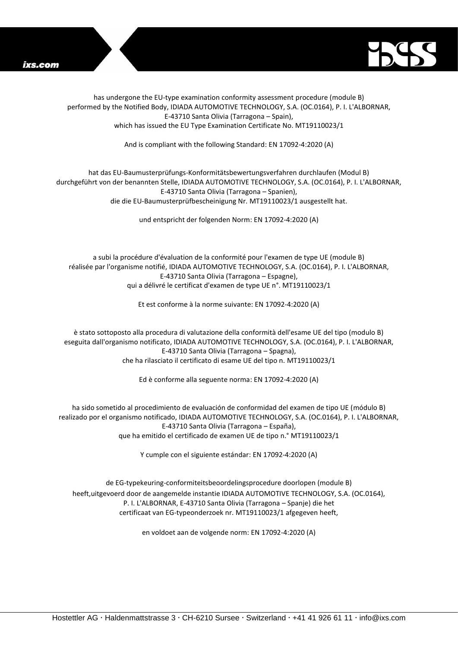



has undergone the EU-type examination conformity assessment procedure (module B) performed by the Notified Body, IDIADA AUTOMOTIVE TECHNOLOGY, S.A. (OC.0164), P. I. L'ALBORNAR, E-43710 Santa Olivia (Tarragona – Spain), which has issued the EU Type Examination Certificate No. MT19110023/1

And is compliant with the following Standard: EN 17092-4:2020 (A)

## hat das EU-Baumusterprüfungs-Konformitätsbewertungsverfahren durchlaufen (Modul B) durchgeführt von der benannten Stelle, IDIADA AUTOMOTIVE TECHNOLOGY, S.A. (OC.0164), P. I. L'ALBORNAR, E-43710 Santa Olivia (Tarragona – Spanien), die die EU-Baumusterprüfbescheinigung Nr. MT19110023/1 ausgestellt hat.

und entspricht der folgenden Norm: EN 17092-4:2020 (A)

a subi la procédure d'évaluation de la conformité pour l'examen de type UE (module B) réalisée par l'organisme notifié, IDIADA AUTOMOTIVE TECHNOLOGY, S.A. (OC.0164), P. I. L'ALBORNAR, E-43710 Santa Olivia (Tarragona – Espagne), qui a délivré le certificat d'examen de type UE n°. MT19110023/1

Et est conforme à la norme suivante: EN 17092-4:2020 (A)

è stato sottoposto alla procedura di valutazione della conformità dell'esame UE del tipo (modulo B) eseguita dall'organismo notificato, IDIADA AUTOMOTIVE TECHNOLOGY, S.A. (OC.0164), P. I. L'ALBORNAR, E-43710 Santa Olivia (Tarragona – Spagna), che ha rilasciato il certificato di esame UE del tipo n. MT19110023/1

Ed è conforme alla seguente norma: EN 17092-4:2020 (A)

ha sido sometido al procedimiento de evaluación de conformidad del examen de tipo UE (módulo B) realizado por el organismo notificado, IDIADA AUTOMOTIVE TECHNOLOGY, S.A. (OC.0164), P. I. L'ALBORNAR, E-43710 Santa Olivia (Tarragona – España), que ha emitido el certificado de examen UE de tipo n.° MT19110023/1

Y cumple con el siguiente estándar: EN 17092-4:2020 (A)

de EG-typekeuring-conformiteitsbeoordelingsprocedure doorlopen (module B) heeft,uitgevoerd door de aangemelde instantie IDIADA AUTOMOTIVE TECHNOLOGY, S.A. (OC.0164), P. I. L'ALBORNAR, E-43710 Santa Olivia (Tarragona – Spanje) die het certificaat van EG-typeonderzoek nr. MT19110023/1 afgegeven heeft,

en voldoet aan de volgende norm: EN 17092-4:2020 (A)